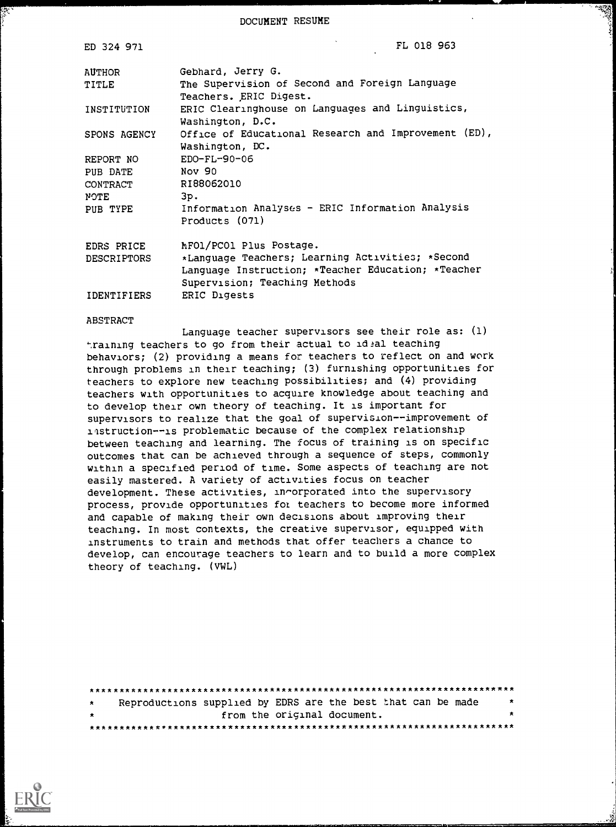DOCUMENT RESUME

 $0.2000$ 

| ED 324 971   | LP ATO ADD                                                                                                                              |
|--------------|-----------------------------------------------------------------------------------------------------------------------------------------|
| AUTHOR       | Gebhard, Jerry G.                                                                                                                       |
| TITLE        | The Supervision of Second and Foreign Language<br>Teachers. ERIC Digest.                                                                |
| INSTITUTION  | ERIC Clearinghouse on Languages and Linguistics,<br>Washington, D.C.                                                                    |
| SPONS AGENCY | Office of Educational Research and Improvement (ED),<br>Washington, DC.                                                                 |
| REPORT NO    | $EDO-FL-90-06$                                                                                                                          |
| PUB DATE     | Nov 90                                                                                                                                  |
| CONTRACT     | RI88062010                                                                                                                              |
| NOTE         | 3p.                                                                                                                                     |
| PUB TYPE     | Information Analyses - ERIC Information Analysis<br>Products (071)                                                                      |
| EDRS PRICE   | MFO1/PCO1 Plus Postage.                                                                                                                 |
| DESCRIPTORS  | *Language Teachers; Learning Activities; *Second<br>Language Instruction; *Teacher Education; *Teacher<br>Supervision; Teaching Methods |
| IDENTIFIERS  | ERIC Digests                                                                                                                            |

### **ABSTRACT**

S.

Language teacher supervisors see their role as: (1) training teachers to go from their actual to ideal teaching behaviors; (2) providing a means for teachers to reflect on and work through problems in their teaching; (3) furnishing opportunities for teachers to explore new teaching possibilities; and (4) providing teachers with opportunities to acquire knowledge about teaching and to develop their own theory of teaching. It is important for supervisors to realize that the goal of supervision--improvement of instruction--is problematic because of the complex relationship between teaching and learning. The focus of training is on specific outcomes that can be achieved through a sequence of steps, commonly within a specified period of time. Some aspects of teaching are not easily mastered. A variety of activities focus on teacher development. These activities, incorporated into the supervisory process, provide opportunities for teachers to become more informed and capable of making their own decisions about improving their teaching. In most contexts, the creative supervisor, equipped with instruments to train and methods that offer teachers a chance to develop, can encourage teachers to learn and to build a more complex theory of teaching. (VWL)

| $\star$ | Reproductions supplied by EDRS are the best that can be made |  |                             |  | $\star$ |
|---------|--------------------------------------------------------------|--|-----------------------------|--|---------|
| $\star$ |                                                              |  | from the original document. |  | $\star$ |
|         |                                                              |  |                             |  |         |

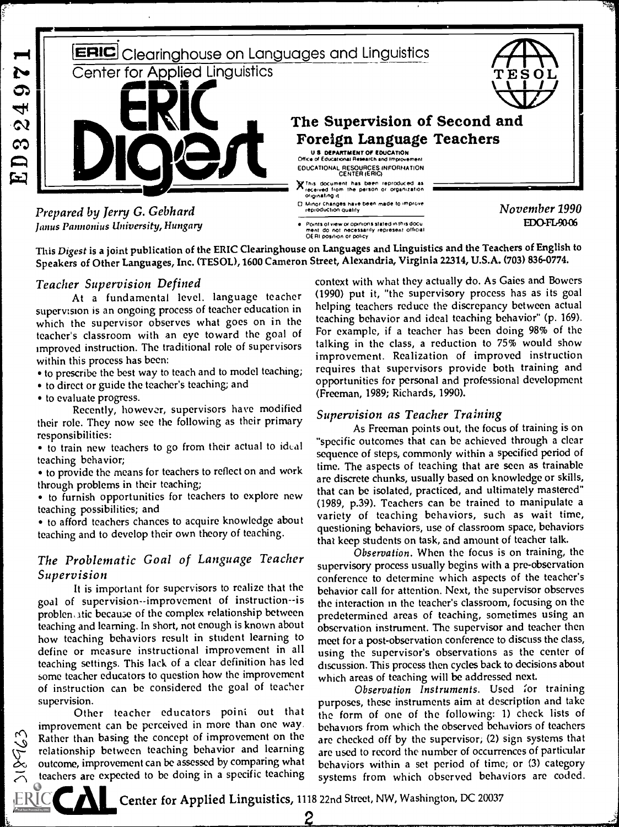**ERIC** Clearinghouse on Languages and Linguistics

Center for Applied Linguistics The Supervision of Second **Foreign Language Teachers**<br>US DEPARTMENT OF EQUCATION<br>COUCATIONAL RESOURCES INFORMATION<br>EDUCATIONAL RESOURCES INFORMATION CENTER IERICI 6.

Prepared by ferry G. Gebhard Janus Pannonius University, Hungary

received from the person or organization. IIIIIII<br>originating.it

0 Minor changes nave been made 10 .mPrOue reproduchon otallty

Points of view or opinions stated in this docu<br>ment ido inot inecessarily vepresent lofficial OE RI position or policy

November 1990 EDO-FL-90-06

 $\left\{ \begin{matrix} 1 & 1 \\ 1 & 1 \\ 1 & 1 \end{matrix} \right\}$ 

This Digest is a joint publication of the ERIC Clearinghouse on Languages and Linguistics and the Teachers of English to Speakers of Other Languages, Inc. (TESOL), 1600 Cameron Street, Alexandria, Virginia 22314, U.S.A. (703) 836-0774.

## Teacher Supervision Defined

At a fundamental level, language teacher supervision is an ongoing process of teacher education in which the supervisor observes what goes on in the teacher's classroom with an eye toward the goal of improved instruction. The traditional role of supervisors within this process has been:

to prescribe the best way to teach and to model teaching;

to direct or guide the teacher's teaching; and

• to evaluate progress.

ERIC

Recently, however, supervisors have modified their role. They now see the following as their primary responsibilities:

to train new teachers to go from their actual to idual teaching behavior;

to provide the means for teachers to reflect on and work through problems in their teaching;

• to furnish opportunities for teachers to explore new teaching possibilities; and

teaching and to develop their own theory of teaching.

# The Problematic Goal of Language Teacher Supervision

It is important for supervisors to realize that the goal of supervision--improvement of instruction--is problen. atic because of the complex relationship between teaching and learning. In short, not enough is known about how teaching behaviors result in student learning to define or measure instructional improvement in all teaching settings. This lack of a clear definition has led some teacher educators to question how the improvement of instruction can be considered the goal of teacher supervision.

Other teacher educators poini out that improvement can be perceived in more than one way Rather than basing the concept of improvement on the relationship between teaching behavior and learning outcome, improvement can be assessed by comparing what teachers are expected to be doing in a specific teaching

context with what they actually do. As Gaies and Bowers (1990) put it, "the supervisory process has as its goal helping teachers reduce the discrepancy between actual teaching behavior and ideal teaching behavior" (p. 169). For example, if a teacher has been doing 98% of the talking in the class, a reduction to 75% would show improvement. Realization of improved instruction requires that supervisors provide both training and opportunities for personal and professional development (Freeman, 1989; Richards, 1990).

### Supervision as Teacher Training

teaching possibilities, and<br>• to afford teachers chances to acquire knowledge about<br>• to afford teachers chances to acquire knowledge about<br>• the stational teachers are a behavior As Freeman points out, the focus of training is on "specific outcomes that can be achieved through a clear sequence of steps, commonly within a specified period of time. The aspects of teaching that are seen as trainable are discrete chunks, usually based on knowledge or skills, that can be isolated, practiced, and ultimately mastered" (1989, p.39). Teachers can be trained to manipulate a questioning behaviors, use of classroom space, behaviors that keep students on task, and amount of teacher talk.

Observation. When the focus is on training, the supervisory process usually begins with a pre-observation conference to determine which aspects of the teacher's behavior call for attention. Next, the supervisor observes the interaction in the teacher's classroom, focusing on the predetermined areas of teaching, sometimes using an observation instrument. The supervisor and teacher then meet for a post-observation conference to discuss the class, using the supervisor's observations as the center of discussion. This process then cycles back to decisions about which areas of teaching will be addressed next.

Observation Instruments. Used for training purposes, these instruments aim at description and take the form of one of the following: 1) check lists of behaviors from which the observed behaviors of teachers are checked off by the supervisor, (2) sign systems that are used to record the number of occurrences of particular behaviors within a set period of time; or (3) category systems from which observed behaviors are coded.

Center for Applied Linguistics, 1118 22nd Street, NW, Washington, DC 20037